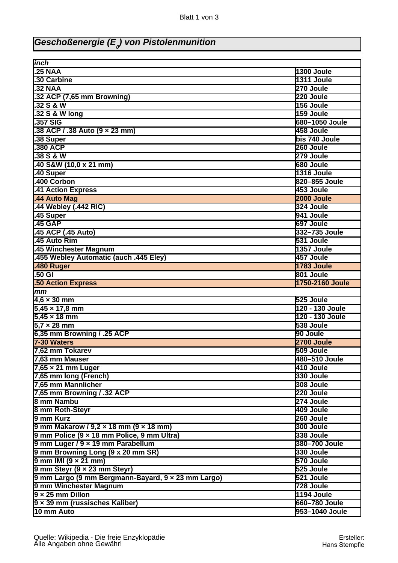## **Geschoßenergie (E<sup>0</sup> ) von Pistolenmunition**

| inch                                                                                                 |                                 |
|------------------------------------------------------------------------------------------------------|---------------------------------|
| <b>25 NAA</b>                                                                                        | 1300 Joule                      |
| .30 Carbine                                                                                          | 1311 Joule                      |
| .32 <sub>NAA</sub>                                                                                   | 270 Joule                       |
| .32 ACP (7,65 mm Browning)                                                                           | 220 Joule                       |
| 32 S & W                                                                                             | 156 Joule                       |
| .32 S & W long                                                                                       | 159 Joule                       |
| .357 SIG                                                                                             | 680-1050 Joule                  |
| 38 ACP / .38 Auto (9 x 23 mm)                                                                        | 458 Joule                       |
| 38 Super                                                                                             | bis 740 Joule                   |
| 380 ACP                                                                                              | 260 Joule                       |
| .38S & W                                                                                             | 279 Joule                       |
| .40 S&W (10,0 x 21 mm)                                                                               | 680 Joule                       |
| 40 Super                                                                                             | 1316 Joule                      |
| 400 Corbon                                                                                           | 820-855 Joule                   |
| 41 Action Express                                                                                    | 453 Joule                       |
| 44 Auto Mag                                                                                          | 2000 Joule                      |
| .44 Webley (.442 RIC)                                                                                | 324 Joule                       |
| .45 Super                                                                                            | 941 Joule                       |
| <b>45 GAP</b>                                                                                        | 697 Joule                       |
| 45 ACP (.45 Auto)                                                                                    | 332-735 Joule                   |
| 45 Auto Rim                                                                                          | 531 Joule                       |
| .45 Winchester Magnum                                                                                | 1357 Joule                      |
| 455 Webley Automatic (auch .445 Eley)                                                                | 457 Joule                       |
| 480 Ruger                                                                                            | 1783 Joule                      |
| $.50$ GI                                                                                             | 801 Joule                       |
| <b>50 Action Express</b>                                                                             | 1750-2160 Joule                 |
| mm                                                                                                   |                                 |
| $4,6 \times 30$ mm                                                                                   | 525 Joule                       |
| $5,45 \times 17,8 \text{ mm}$                                                                        | 120 - 130 Joule                 |
| $5,45 \times 18$ mm                                                                                  | 120 - 130 Joule                 |
| $5.7 \times 28$ mm                                                                                   | 538 Joule                       |
| 6,35 mm Browning / .25 ACP                                                                           | 90 Joule                        |
| 7-30 Waters                                                                                          | 2700 Joule                      |
| 7.62 mm Tokarev                                                                                      | 509 Joule                       |
| 7,63 mm Mauser                                                                                       | 480-510 Joule                   |
| $7,65 \times 21$ mm Luger                                                                            | 410 Joule                       |
| 7,65 mm long (French)                                                                                | 330 Joule                       |
| 7,65 mm Mannlicher                                                                                   | 308 Joule                       |
| 7,65 mm Browning / .32 ACP                                                                           | 220 Joule                       |
| 8 mm Nambu                                                                                           | 274 Joule                       |
| 8 mm Roth-Steyr                                                                                      | 409 Joule                       |
| 9 mm Kurz                                                                                            | 260 Joule                       |
|                                                                                                      | 300 Joule                       |
| $9$ mm Makarow / $9,2 \times 18$ mm (9 $\times$ 18 mm)<br>9 mm Police (9 x 18 mm Police, 9 mm Ultra) | 338 Joule                       |
| 9 mm Luger / 9 x 19 mm Parabellum                                                                    | 380-700 Joule                   |
| 9 mm Browning Long (9 x 20 mm SR)                                                                    | 330 Joule                       |
|                                                                                                      | 570 Joule                       |
| $9$ mm IMI ( $9 \times 21$ mm)                                                                       | 525 Joule                       |
| 9 mm Steyr (9 x 23 mm Steyr)                                                                         | 521 Joule                       |
| 9 mm Largo (9 mm Bergmann-Bayard, 9 x 23 mm Largo)                                                   |                                 |
| 9 mm Winchester Magnum<br>$9 \times 25$ mm Dillon                                                    | 728 Joule                       |
|                                                                                                      |                                 |
|                                                                                                      | 1194 Joule                      |
| $9 \times 39$ mm (russisches Kaliber)<br>10 mm Auto                                                  | 660-780 Joule<br>953-1040 Joule |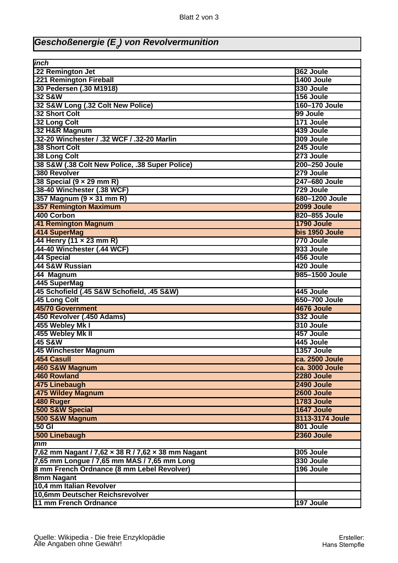## **Geschoßenergie (E<sup>0</sup> ) von Revolvermunition**

| inch                                               |                 |
|----------------------------------------------------|-----------------|
| .22 Remington Jet                                  | 362 Joule       |
| .221 Remington Fireball                            | 1400 Joule      |
| .30 Pedersen (.30 M1918)                           | 330 Joule       |
| 32 S&W                                             | 156 Joule       |
| .32 S&W Long (.32 Colt New Police)                 | 160-170 Joule   |
| 32 Short Colt                                      | 99 Joule        |
| 32 Long Colt                                       | 171 Joule       |
| 32 H&R Magnum                                      | 439 Joule       |
| .32-20 Winchester / .32 WCF / .32-20 Marlin        | 309 Joule       |
| 38 Short Colt                                      | 245 Joule       |
|                                                    |                 |
| 38 Long Colt                                       | 273 Joule       |
| 38 S&W (.38 Colt New Police, .38 Super Police)     | 200-250 Joule   |
| 380 Revolver                                       | 279 Joule       |
| .38 Special $(9 \times 29 \text{ mm R})$           | 247-680 Joule   |
| 38-40 Winchester (.38 WCF)                         | 729 Joule       |
| .357 Magnum $(9 \times 31$ mm R)                   | 680-1200 Joule  |
| <b>357 Remington Maximum</b>                       | 2099 Joule      |
| .400 Corbon                                        | 820-855 Joule   |
| 41 Remington Magnum                                | 1790 Joule      |
| .414 SuperMag                                      | bis 1950 Joule  |
| .44 Henry (11 x 23 mm R)                           | 770 Joule       |
| .44-40 Winchester (.44 WCF)                        | 933 Joule       |
| 44 Special                                         | 456 Joule       |
| 44 S&W Russian                                     | 420 Joule       |
| 44 Magnum                                          | 985-1500 Joule  |
| 445 SuperMag                                       |                 |
| 45 Schofield (.45 S&W Schofield, .45 S&W)          | 445 Joule       |
| 45 Long Colt                                       | 650-700 Joule   |
| .45/70 Government                                  | 4676 Joule      |
| .450 Revolver (.450 Adams)                         | 332 Joule       |
| 455 Webley Mk I                                    | 310 Joule       |
| 455 Webley Mk II                                   | 457 Joule       |
| 45 S&W                                             | 445 Joule       |
| .45 Winchester Magnum                              | 1357 Joule      |
| <b>454 Casull</b>                                  | ca. 2500 Joule  |
| .460 S&W Magnum                                    | ca. 3000 Joule  |
| .460 Rowland                                       | 2280 Joule      |
| .475 Linebaugh                                     | 2490 Joule      |
| .475 Wildey Magnum                                 | 2600 Joule      |
| 480 Ruger                                          | 1783 Joule      |
| 500 S&W Special                                    | 1647 Joule      |
| 500 S&W Magnum                                     | 3113-3174 Joule |
| 50 GI                                              | 801 Joule       |
| 500 Linebaugh                                      | 2360 Joule      |
| $mm$                                               |                 |
| 7,62 mm Nagant / 7,62 x 38 R / 7,62 x 38 mm Nagant | 305 Joule       |
| 7,65 mm Longue / 7,65 mm MAS / 7,65 mm Long        | 330 Joule       |
| 8 mm French Ordnance (8 mm Lebel Revolver)         | 196 Joule       |
|                                                    |                 |
| <b>8mm Nagant</b>                                  |                 |
| 10,4 mm Italian Revolver                           |                 |
| 10,6mm Deutscher Reichsrevolver                    |                 |
| 11 mm French Ordnance                              | 197 Joule       |